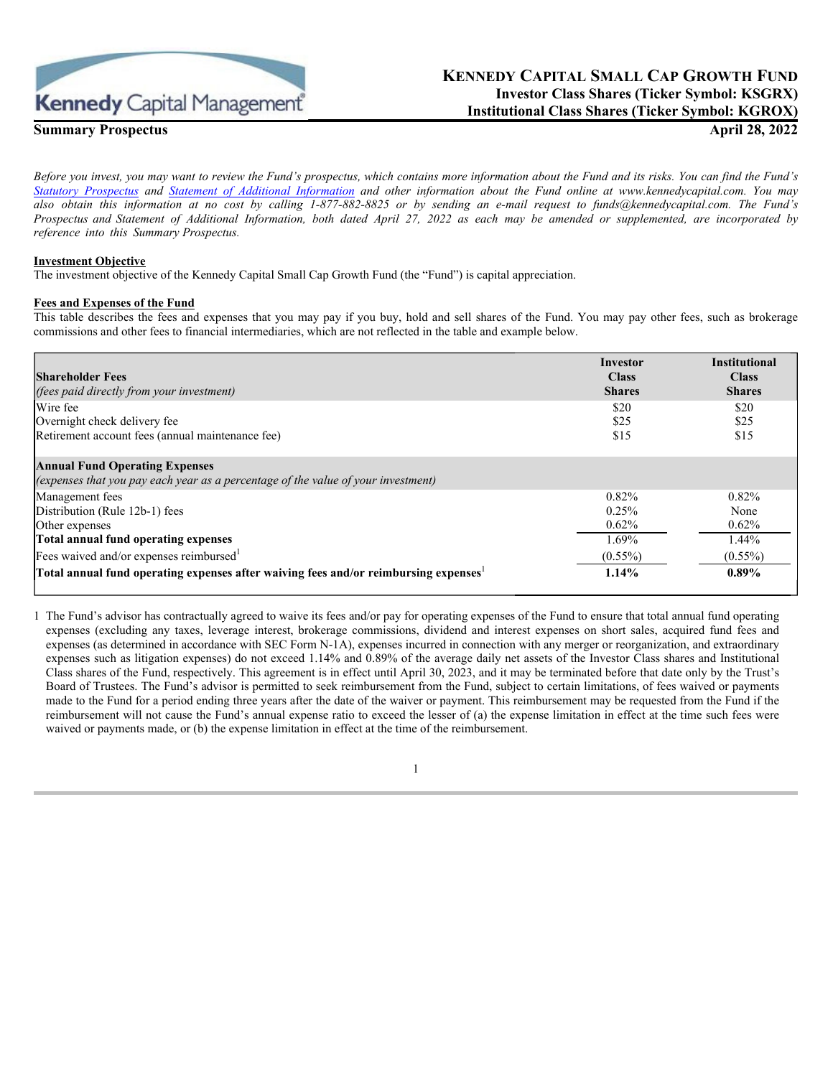

# **Summary Prospectus April 28, 2022**

# **KENNEDY CAPITAL SMALL CAP GROWTH FUND Investor Class Shares (Ticker Symbol: KSGRX) Institutional Class Shares (Ticker Symbol: KGROX)**

*Before you invest, you may want to review the Fund's prospectus, which contains more information about the Fund and its risks. You can find the Fund's [Statutory Prospectus](https://www.kennedycapital.com/media/Kennedy-Capital-Small-Cap-Growth-Fund-Prospectus.pdf) and [Statement of Additional Information](https://www.kennedycapital.com/media/Kennedy-Capital-Small-Cap-Growth-Fund-SAI.pdf) and other information about the Fund online at www.kennedycapital.com. You may also obtain this information at no cost by calling 1-877-882-8825 or by sending an e-mail request to funds@kennedycapital.com. The Fund's Prospectus and Statement of Additional Information, both dated April 27, 2022 as each may be amended or supplemented, are incorporated by reference into this Summary Prospectus.*

### **Investment Objective**

The investment objective of the Kennedy Capital Small Cap Growth Fund (the "Fund") is capital appreciation.

# **Fees and Expenses of the Fund**

This table describes the fees and expenses that you may pay if you buy, hold and sell shares of the Fund. You may pay other fees, such as brokerage commissions and other fees to financial intermediaries, which are not reflected in the table and example below.

| <b>Shareholder Fees</b><br>(fees paid directly from your investment)                                                       | Investor<br><b>Class</b><br><b>Shares</b> | <b>Institutional</b><br><b>Class</b><br><b>Shares</b> |
|----------------------------------------------------------------------------------------------------------------------------|-------------------------------------------|-------------------------------------------------------|
| Wire fee                                                                                                                   | \$20                                      | \$20                                                  |
| Overnight check delivery fee                                                                                               | \$25                                      | \$25                                                  |
| Retirement account fees (annual maintenance fee)                                                                           | \$15                                      | \$15                                                  |
| <b>Annual Fund Operating Expenses</b><br>(expenses that you pay each year as a percentage of the value of your investment) |                                           |                                                       |
| Management fees                                                                                                            | 0.82%                                     | $0.82\%$                                              |
| Distribution (Rule 12b-1) fees                                                                                             | 0.25%                                     | None                                                  |
| Other expenses                                                                                                             | 0.62%                                     | $0.62\%$                                              |
| Total annual fund operating expenses                                                                                       | 1.69%                                     | 1.44%                                                 |
| Fees waived and/or expenses reimbursed <sup>1</sup>                                                                        | $(0.55\%)$                                | $(0.55\%)$                                            |
| Total annual fund operating expenses after waiving fees and/or reimbursing expenses                                        | 1.14%                                     | $0.89\%$                                              |

1 The Fund's advisor has contractually agreed to waive its fees and/or pay for operating expenses of the Fund to ensure that total annual fund operating expenses (excluding any taxes, leverage interest, brokerage commissions, dividend and interest expenses on short sales, acquired fund fees and expenses (as determined in accordance with SEC Form N-1A), expenses incurred in connection with any merger or reorganization, and extraordinary expenses such as litigation expenses) do not exceed 1.14% and 0.89% of the average daily net assets of the Investor Class shares and Institutional Class shares of the Fund, respectively. This agreement is in effect until April 30, 2023, and it may be terminated before that date only by the Trust's Board of Trustees. The Fund's advisor is permitted to seek reimbursement from the Fund, subject to certain limitations, of fees waived or payments made to the Fund for a period ending three years after the date of the waiver or payment. This reimbursement may be requested from the Fund if the reimbursement will not cause the Fund's annual expense ratio to exceed the lesser of (a) the expense limitation in effect at the time such fees were waived or payments made, or (b) the expense limitation in effect at the time of the reimbursement.

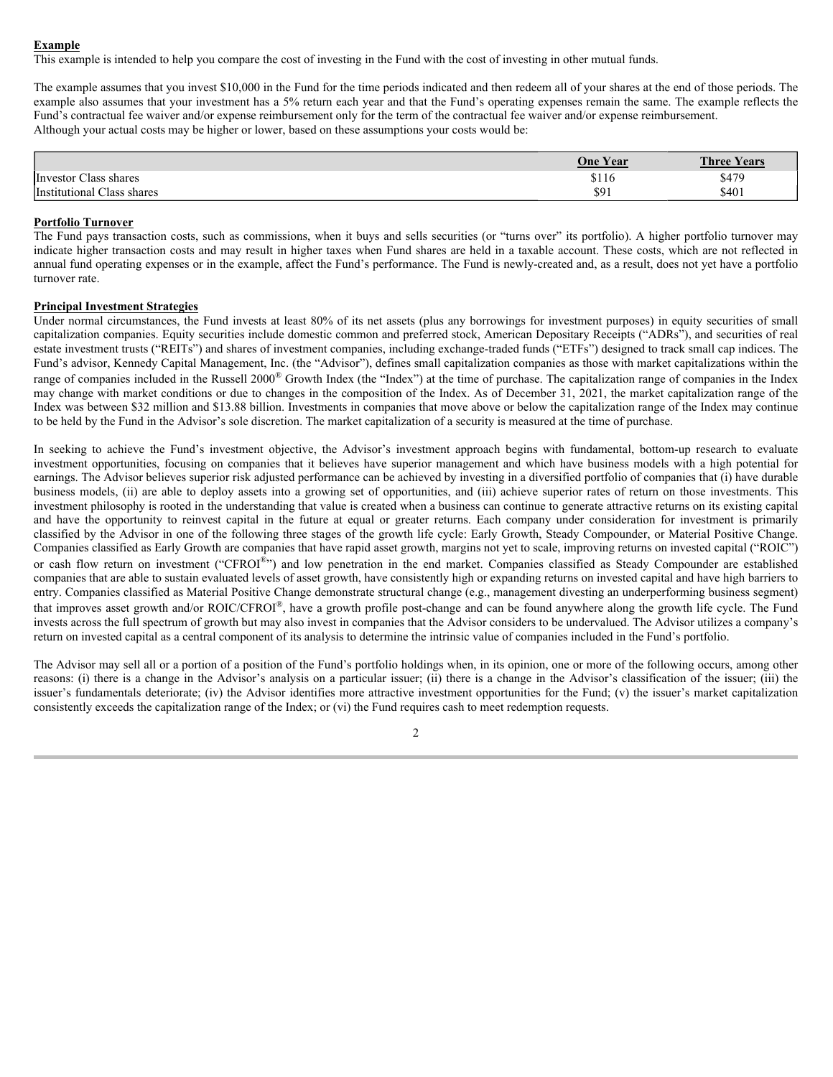#### **Example**

This example is intended to help you compare the cost of investing in the Fund with the cost of investing in other mutual funds.

The example assumes that you invest \$10,000 in the Fund for the time periods indicated and then redeem all of your shares at the end of those periods. The example also assumes that your investment has a 5% return each year and that the Fund's operating expenses remain the same. The example reflects the Fund's contractual fee waiver and/or expense reimbursement only for the term of the contractual fee waiver and/or expense reimbursement. Although your actual costs may be higher or lower, based on these assumptions your costs would be:

|                                                       | <b>One Year</b> | <b>Three Years</b> |
|-------------------------------------------------------|-----------------|--------------------|
| $\sim$<br>Class shares<br>Investor C                  | \$116           | \$479              |
| <i>Instit</i><br>$\text{Class}$<br>shares<br>tutional | \$91            | \$401              |

## **Portfolio Turnover**

The Fund pays transaction costs, such as commissions, when it buys and sells securities (or "turns over" its portfolio). A higher portfolio turnover may indicate higher transaction costs and may result in higher taxes when Fund shares are held in a taxable account. These costs, which are not reflected in annual fund operating expenses or in the example, affect the Fund's performance. The Fund is newly-created and, as a result, does not yet have a portfolio turnover rate.

#### **Principal Investment Strategies**

Under normal circumstances, the Fund invests at least 80% of its net assets (plus any borrowings for investment purposes) in equity securities of small capitalization companies. Equity securities include domestic common and preferred stock, American Depositary Receipts ("ADRs"), and securities of real estate investment trusts ("REITs") and shares of investment companies, including exchange-traded funds ("ETFs") designed to track small cap indices. The Fund's advisor, Kennedy Capital Management, Inc. (the "Advisor"), defines small capitalization companies as those with market capitalizations within the range of companies included in the Russell 2000<sup>®</sup> Growth Index (the "Index") at the time of purchase. The capitalization range of companies in the Index may change with market conditions or due to changes in the composition of the Index. As of December 31, 2021, the market capitalization range of the Index was between \$32 million and \$13.88 billion. Investments in companies that move above or below the capitalization range of the Index may continue to be held by the Fund in the Advisor's sole discretion. The market capitalization of a security is measured at the time of purchase.

In seeking to achieve the Fund's investment objective, the Advisor's investment approach begins with fundamental, bottom-up research to evaluate investment opportunities, focusing on companies that it believes have superior management and which have business models with a high potential for earnings. The Advisor believes superior risk adjusted performance can be achieved by investing in a diversified portfolio of companies that (i) have durable business models, (ii) are able to deploy assets into a growing set of opportunities, and (iii) achieve superior rates of return on those investments. This investment philosophy is rooted in the understanding that value is created when a business can continue to generate attractive returns on its existing capital and have the opportunity to reinvest capital in the future at equal or greater returns. Each company under consideration for investment is primarily classified by the Advisor in one of the following three stages of the growth life cycle: Early Growth, Steady Compounder, or Material Positive Change. Companies classified as Early Growth are companies that have rapid asset growth, margins not yet to scale, improving returns on invested capital ("ROIC") or cash flow return on investment ("CFROI®") and low penetration in the end market. Companies classified as Steady Compounder are established companies that are able to sustain evaluated levels of asset growth, have consistently high or expanding returns on invested capital and have high barriers to entry. Companies classified as Material Positive Change demonstrate structural change (e.g., management divesting an underperforming business segment) that improves asset growth and/or ROIC/CFROI®, have a growth profile post-change and can be found anywhere along the growth life cycle. The Fund invests across the full spectrum of growth but may also invest in companies that the Advisor considers to be undervalued. The Advisor utilizes a company's return on invested capital as a central component of its analysis to determine the intrinsic value of companies included in the Fund's portfolio.

The Advisor may sell all or a portion of a position of the Fund's portfolio holdings when, in its opinion, one or more of the following occurs, among other reasons: (i) there is a change in the Advisor's analysis on a particular issuer; (ii) there is a change in the Advisor's classification of the issuer; (iii) the issuer's fundamentals deteriorate; (iv) the Advisor identifies more attractive investment opportunities for the Fund; (v) the issuer's market capitalization consistently exceeds the capitalization range of the Index; or (vi) the Fund requires cash to meet redemption requests.

 $\mathfrak{D}$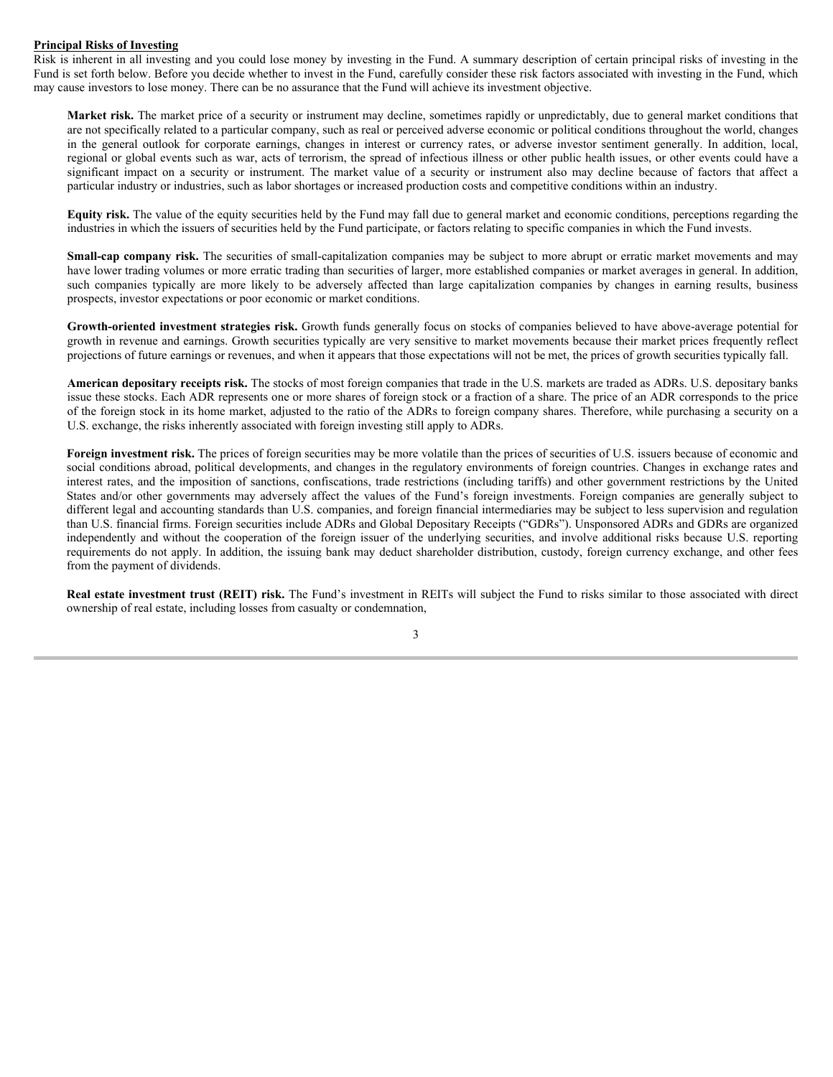### **Principal Risks of Investing**

Risk is inherent in all investing and you could lose money by investing in the Fund. A summary description of certain principal risks of investing in the Fund is set forth below. Before you decide whether to invest in the Fund, carefully consider these risk factors associated with investing in the Fund, which may cause investors to lose money. There can be no assurance that the Fund will achieve its investment objective.

**Market risk.** The market price of a security or instrument may decline, sometimes rapidly or unpredictably, due to general market conditions that are not specifically related to a particular company, such as real or perceived adverse economic or political conditions throughout the world, changes in the general outlook for corporate earnings, changes in interest or currency rates, or adverse investor sentiment generally. In addition, local, regional or global events such as war, acts of terrorism, the spread of infectious illness or other public health issues, or other events could have a significant impact on a security or instrument. The market value of a security or instrument also may decline because of factors that affect a particular industry or industries, such as labor shortages or increased production costs and competitive conditions within an industry.

**Equity risk.** The value of the equity securities held by the Fund may fall due to general market and economic conditions, perceptions regarding the industries in which the issuers of securities held by the Fund participate, or factors relating to specific companies in which the Fund invests.

**Small-cap company risk.** The securities of small-capitalization companies may be subject to more abrupt or erratic market movements and may have lower trading volumes or more erratic trading than securities of larger, more established companies or market averages in general. In addition, such companies typically are more likely to be adversely affected than large capitalization companies by changes in earning results, business prospects, investor expectations or poor economic or market conditions.

**Growth-oriented investment strategies risk.** Growth funds generally focus on stocks of companies believed to have above-average potential for growth in revenue and earnings. Growth securities typically are very sensitive to market movements because their market prices frequently reflect projections of future earnings or revenues, and when it appears that those expectations will not be met, the prices of growth securities typically fall.

**American depositary receipts risk.** The stocks of most foreign companies that trade in the U.S. markets are traded as ADRs. U.S. depositary banks issue these stocks. Each ADR represents one or more shares of foreign stock or a fraction of a share. The price of an ADR corresponds to the price of the foreign stock in its home market, adjusted to the ratio of the ADRs to foreign company shares. Therefore, while purchasing a security on a U.S. exchange, the risks inherently associated with foreign investing still apply to ADRs.

Foreign investment risk. The prices of foreign securities may be more volatile than the prices of securities of U.S. issuers because of economic and social conditions abroad, political developments, and changes in the regulatory environments of foreign countries. Changes in exchange rates and interest rates, and the imposition of sanctions, confiscations, trade restrictions (including tariffs) and other government restrictions by the United States and/or other governments may adversely affect the values of the Fund's foreign investments. Foreign companies are generally subject to different legal and accounting standards than U.S. companies, and foreign financial intermediaries may be subject to less supervision and regulation than U.S. financial firms. Foreign securities include ADRs and Global Depositary Receipts ("GDRs"). Unsponsored ADRs and GDRs are organized independently and without the cooperation of the foreign issuer of the underlying securities, and involve additional risks because U.S. reporting requirements do not apply. In addition, the issuing bank may deduct shareholder distribution, custody, foreign currency exchange, and other fees from the payment of dividends.

**Real estate investment trust (REIT) risk.** The Fund's investment in REITs will subject the Fund to risks similar to those associated with direct ownership of real estate, including losses from casualty or condemnation,

3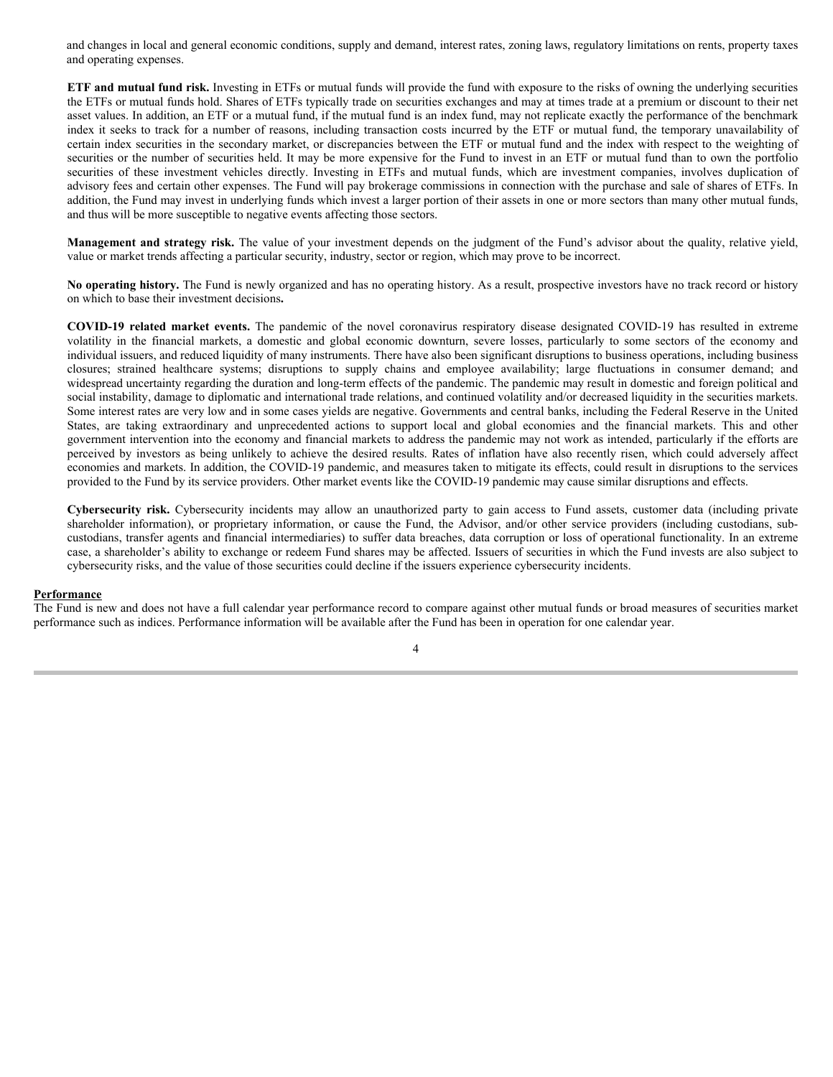and changes in local and general economic conditions, supply and demand, interest rates, zoning laws, regulatory limitations on rents, property taxes and operating expenses.

**ETF and mutual fund risk.** Investing in ETFs or mutual funds will provide the fund with exposure to the risks of owning the underlying securities the ETFs or mutual funds hold. Shares of ETFs typically trade on securities exchanges and may at times trade at a premium or discount to their net asset values. In addition, an ETF or a mutual fund, if the mutual fund is an index fund, may not replicate exactly the performance of the benchmark index it seeks to track for a number of reasons, including transaction costs incurred by the ETF or mutual fund, the temporary unavailability of certain index securities in the secondary market, or discrepancies between the ETF or mutual fund and the index with respect to the weighting of securities or the number of securities held. It may be more expensive for the Fund to invest in an ETF or mutual fund than to own the portfolio securities of these investment vehicles directly. Investing in ETFs and mutual funds, which are investment companies, involves duplication of advisory fees and certain other expenses. The Fund will pay brokerage commissions in connection with the purchase and sale of shares of ETFs. In addition, the Fund may invest in underlying funds which invest a larger portion of their assets in one or more sectors than many other mutual funds, and thus will be more susceptible to negative events affecting those sectors.

**Management and strategy risk.** The value of your investment depends on the judgment of the Fund's advisor about the quality, relative yield, value or market trends affecting a particular security, industry, sector or region, which may prove to be incorrect.

**No operating history.** The Fund is newly organized and has no operating history. As a result, prospective investors have no track record or history on which to base their investment decisions**.**

**COVID-19 related market events.** The pandemic of the novel coronavirus respiratory disease designated COVID-19 has resulted in extreme volatility in the financial markets, a domestic and global economic downturn, severe losses, particularly to some sectors of the economy and individual issuers, and reduced liquidity of many instruments. There have also been significant disruptions to business operations, including business closures; strained healthcare systems; disruptions to supply chains and employee availability; large fluctuations in consumer demand; and widespread uncertainty regarding the duration and long-term effects of the pandemic. The pandemic may result in domestic and foreign political and social instability, damage to diplomatic and international trade relations, and continued volatility and/or decreased liquidity in the securities markets. Some interest rates are very low and in some cases yields are negative. Governments and central banks, including the Federal Reserve in the United States, are taking extraordinary and unprecedented actions to support local and global economies and the financial markets. This and other government intervention into the economy and financial markets to address the pandemic may not work as intended, particularly if the efforts are perceived by investors as being unlikely to achieve the desired results. Rates of inflation have also recently risen, which could adversely affect economies and markets. In addition, the COVID-19 pandemic, and measures taken to mitigate its effects, could result in disruptions to the services provided to the Fund by its service providers. Other market events like the COVID-19 pandemic may cause similar disruptions and effects.

**Cybersecurity risk.** Cybersecurity incidents may allow an unauthorized party to gain access to Fund assets, customer data (including private shareholder information), or proprietary information, or cause the Fund, the Advisor, and/or other service providers (including custodians, subcustodians, transfer agents and financial intermediaries) to suffer data breaches, data corruption or loss of operational functionality. In an extreme case, a shareholder's ability to exchange or redeem Fund shares may be affected. Issuers of securities in which the Fund invests are also subject to cybersecurity risks, and the value of those securities could decline if the issuers experience cybersecurity incidents.

#### **Performance**

The Fund is new and does not have a full calendar year performance record to compare against other mutual funds or broad measures of securities market performance such as indices. Performance information will be available after the Fund has been in operation for one calendar year.

4